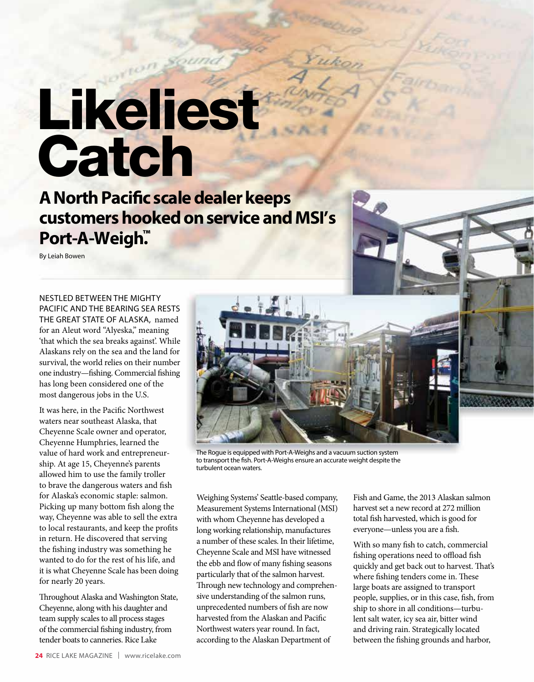## Likelies<sup>t</sup> **Catch**

**A North Pacific scale dealer keeps customers hooked on service and MSI's Port-A-Weigh.™**

By Leiah Bowen

NESTLED BETWEEN THE MIGHTY PACIFIC AND THE BEARING SEA RESTS THE GREAT STATE OF ALASKA, named for an Aleut word "Alyeska," meaning 'that which the sea breaks against'. While Alaskans rely on the sea and the land for survival, the world relies on their number one industry—fishing. Commercial fishing has long been considered one of the most dangerous jobs in the U.S.

It was here, in the Pacific Northwest waters near southeast Alaska, that Cheyenne Scale owner and operator, Cheyenne Humphries, learned the value of hard work and entrepreneurship. At age 15, Cheyenne's parents allowed him to use the family troller to brave the dangerous waters and fish for Alaska's economic staple: salmon. Picking up many bottom fish along the way, Cheyenne was able to sell the extra to local restaurants, and keep the profits in return. He discovered that serving the fishing industry was something he wanted to do for the rest of his life, and it is what Cheyenne Scale has been doing for nearly 20 years.

Throughout Alaska and Washington State, Cheyenne, along with his daughter and team supply scales to all process stages of the commercial fishing industry, from tender boats to canneries. Rice Lake



The Rogue is equipped with Port-A-Weighs and a vacuum suction system to transport the fish. Port-A-Weighs ensure an accurate weight despite the turbulent ocean waters.

Weighing Systems' Seattle-based company, Measurement Systems International (MSI) with whom Cheyenne has developed a long working relationship, manufactures a number of these scales. In their lifetime, Cheyenne Scale and MSI have witnessed the ebb and flow of many fishing seasons particularly that of the salmon harvest. Through new technology and comprehensive understanding of the salmon runs, unprecedented numbers of fish are now harvested from the Alaskan and Pacific Northwest waters year round. In fact, according to the Alaskan Department of

Fish and Game, the 2013 Alaskan salmon harvest set a new record at 272 million total fish harvested, which is good for everyone—unless you are a fish.

With so many fish to catch, commercial fishing operations need to offload fish quickly and get back out to harvest. That's where fishing tenders come in. These large boats are assigned to transport people, supplies, or in this case, fish, from ship to shore in all conditions—turbulent salt water, icy sea air, bitter wind and driving rain. Strategically located between the fishing grounds and harbor,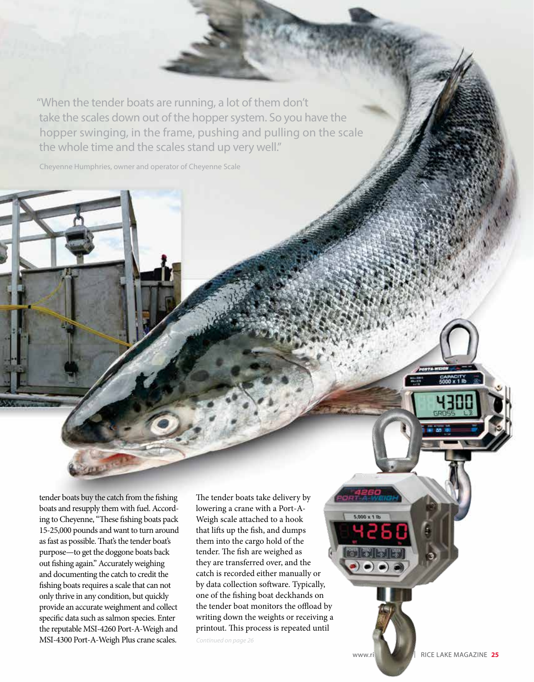"When the tender boats are running, a lot of them don't take the scales down out of the hopper system. So you have the hopper swinging, in the frame, pushing and pulling on the scale the whole time and the scales stand up very well."

Cheyenne Humphries, owner and operator of Cheyenne Scale

tender boats buy the catch from the fishing boats and resupply them with fuel. According to Cheyenne, "These fishing boats pack 15-25,000 pounds and want to turn around as fast as possible. That's the tender boat's purpose—to get the doggone boats back out fishing again." Accurately weighing and documenting the catch to credit the fishing boats requires a scale that can not only thrive in any condition, but quickly provide an accurate weighment and collect specific data such as salmon species. Enter the reputable MSI-4260 Port-A-Weigh and MSI-4300 Port-A-Weigh Plus crane scales.

The tender boats take delivery by lowering a crane with a Port-A-Weigh scale attached to a hook that lifts up the fish, and dumps them into the cargo hold of the tender. The fish are weighed as they are transferred over, and the catch is recorded either manually or by data collection software. Typically, one of the fishing boat deckhands on the tender boat monitors the offload by writing down the weights or receiving a printout. This process is repeated until

*Continued on page 26* 

www.ricelake.com | RICE LAKE MAGAZINE 25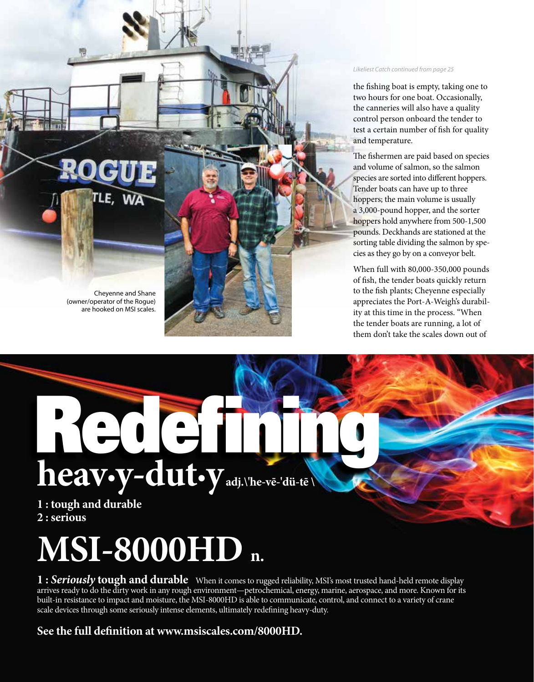

Cheyenne and Shane (owner/operator of the Rogue) are hooked on MSI scales.

*Likeliest Catch continued from page 25*

the fishing boat is empty, taking one to two hours for one boat. Occasionally, the canneries will also have a quality control person onboard the tender to test a certain number of fish for quality and temperature.

The fishermen are paid based on species and volume of salmon, so the salmon species are sorted into different hoppers. Tender boats can have up to three hoppers; the main volume is usually a 3,000-pound hopper, and the sorter hoppers hold anywhere from 500-1,500 pounds. Deckhands are stationed at the sorting table dividing the salmon by species as they go by on a conveyor belt.

When full with 80,000-350,000 pounds of fish, the tender boats quickly return to the fish plants; Cheyenne especially appreciates the Port-A-Weigh's durability at this time in the process. "When the tender boats are running, a lot of them don't take the scales down out of

## **heav·y-dut·y adj.\'he-vē-'dü-tē \** Redefining the second

**1 : tough and durable 2 : serious**

## **MSI-8000HD n.**

**1 :** *Seriously* **tough and durable** When it comes to rugged reliability, MSI's most trusted hand-held remote display arrives ready to do the dirty work in any rough environment—petrochemical, energy, marine, aerospace, and more. Known for its built-in resistance to impact and moisture, the MSI-8000HD is able to communicate, control, and connect to a variety of crane scale devices through some seriously intense elements, ultimately redefining heavy-duty.

## **See the full definition at www.msiscales.com/8000HD.**